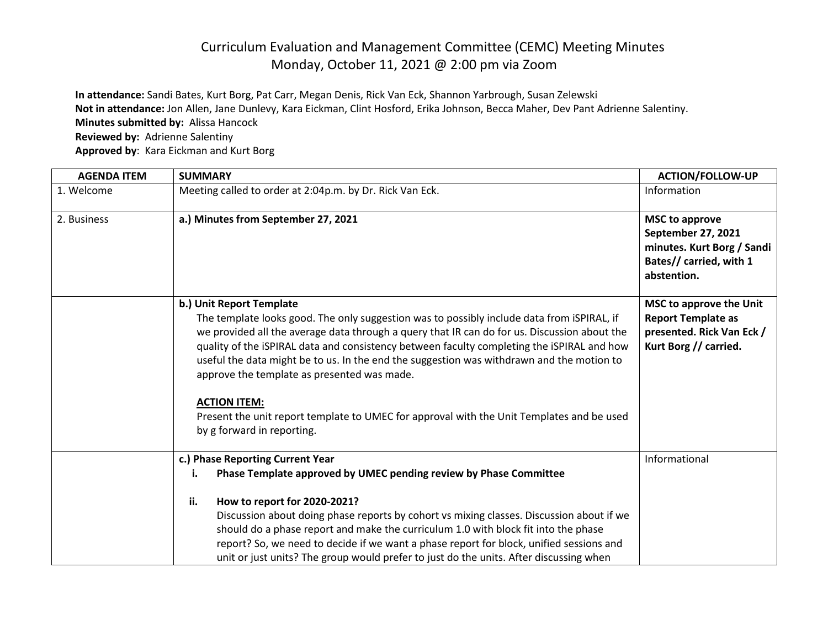## Curriculum Evaluation and Management Committee (CEMC) Meeting Minutes Monday, October 11, 2021 @ 2:00 pm via Zoom

**In attendance:** Sandi Bates, Kurt Borg, Pat Carr, Megan Denis, Rick Van Eck, Shannon Yarbrough, Susan Zelewski **Not in attendance:** Jon Allen, Jane Dunlevy, Kara Eickman, Clint Hosford, Erika Johnson, Becca Maher, Dev Pant Adrienne Salentiny. **Minutes submitted by:** Alissa Hancock **Reviewed by:** Adrienne Salentiny **Approved by**: Kara Eickman and Kurt Borg

| <b>AGENDA ITEM</b> | <b>SUMMARY</b>                                                                                                                                                                                                                                                                                                                                                                                                                                                                                                                                                                                                     | <b>ACTION/FOLLOW-UP</b>                                                                                                    |
|--------------------|--------------------------------------------------------------------------------------------------------------------------------------------------------------------------------------------------------------------------------------------------------------------------------------------------------------------------------------------------------------------------------------------------------------------------------------------------------------------------------------------------------------------------------------------------------------------------------------------------------------------|----------------------------------------------------------------------------------------------------------------------------|
| 1. Welcome         | Meeting called to order at 2:04p.m. by Dr. Rick Van Eck.                                                                                                                                                                                                                                                                                                                                                                                                                                                                                                                                                           | Information                                                                                                                |
| 2. Business        | a.) Minutes from September 27, 2021                                                                                                                                                                                                                                                                                                                                                                                                                                                                                                                                                                                | <b>MSC to approve</b><br><b>September 27, 2021</b><br>minutes. Kurt Borg / Sandi<br>Bates// carried, with 1<br>abstention. |
|                    | b.) Unit Report Template<br>The template looks good. The only suggestion was to possibly include data from iSPIRAL, if<br>we provided all the average data through a query that IR can do for us. Discussion about the<br>quality of the iSPIRAL data and consistency between faculty completing the iSPIRAL and how<br>useful the data might be to us. In the end the suggestion was withdrawn and the motion to<br>approve the template as presented was made.<br><b>ACTION ITEM:</b><br>Present the unit report template to UMEC for approval with the Unit Templates and be used<br>by g forward in reporting. | MSC to approve the Unit<br><b>Report Template as</b><br>presented. Rick Van Eck /<br>Kurt Borg // carried.                 |
|                    | c.) Phase Reporting Current Year<br>Phase Template approved by UMEC pending review by Phase Committee<br>i.<br>ii.<br>How to report for 2020-2021?<br>Discussion about doing phase reports by cohort vs mixing classes. Discussion about if we<br>should do a phase report and make the curriculum 1.0 with block fit into the phase<br>report? So, we need to decide if we want a phase report for block, unified sessions and<br>unit or just units? The group would prefer to just do the units. After discussing when                                                                                          | Informational                                                                                                              |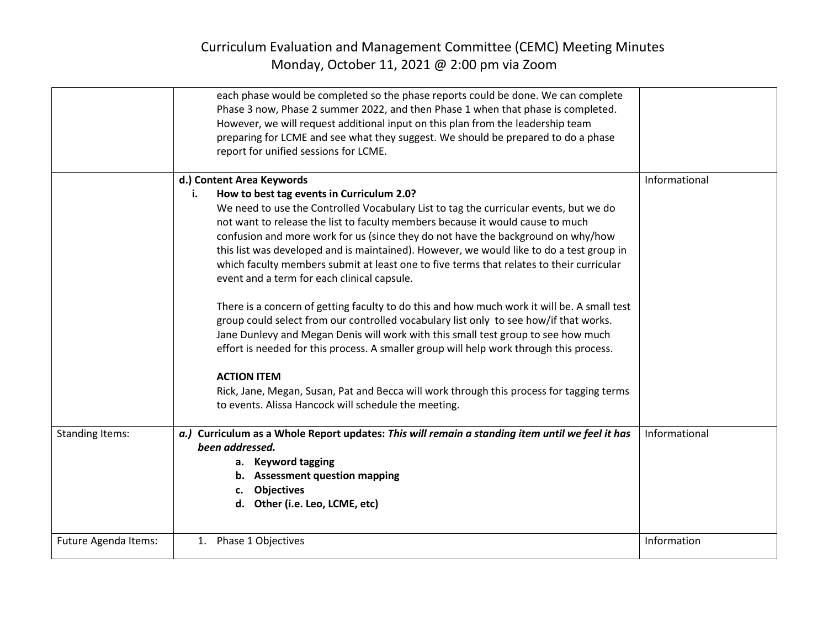## Curriculum Evaluation and Management Committee (CEMC) Meeting Minutes Monday, October 11, 2021 @ 2:00 pm via Zoom

|                        | each phase would be completed so the phase reports could be done. We can complete<br>Phase 3 now, Phase 2 summer 2022, and then Phase 1 when that phase is completed.<br>However, we will request additional input on this plan from the leadership team<br>preparing for LCME and see what they suggest. We should be prepared to do a phase<br>report for unified sessions for LCME.                                                                                                                                                                                                                                                                                                                                                                                                                                                                                                                                                                                                                                                                                                                                               |               |
|------------------------|--------------------------------------------------------------------------------------------------------------------------------------------------------------------------------------------------------------------------------------------------------------------------------------------------------------------------------------------------------------------------------------------------------------------------------------------------------------------------------------------------------------------------------------------------------------------------------------------------------------------------------------------------------------------------------------------------------------------------------------------------------------------------------------------------------------------------------------------------------------------------------------------------------------------------------------------------------------------------------------------------------------------------------------------------------------------------------------------------------------------------------------|---------------|
|                        | d.) Content Area Keywords<br>How to best tag events in Curriculum 2.0?<br>i.<br>We need to use the Controlled Vocabulary List to tag the curricular events, but we do<br>not want to release the list to faculty members because it would cause to much<br>confusion and more work for us (since they do not have the background on why/how<br>this list was developed and is maintained). However, we would like to do a test group in<br>which faculty members submit at least one to five terms that relates to their curricular<br>event and a term for each clinical capsule.<br>There is a concern of getting faculty to do this and how much work it will be. A small test<br>group could select from our controlled vocabulary list only to see how/if that works.<br>Jane Dunlevy and Megan Denis will work with this small test group to see how much<br>effort is needed for this process. A smaller group will help work through this process.<br><b>ACTION ITEM</b><br>Rick, Jane, Megan, Susan, Pat and Becca will work through this process for tagging terms<br>to events. Alissa Hancock will schedule the meeting. | Informational |
| <b>Standing Items:</b> | a.) Curriculum as a Whole Report updates: This will remain a standing item until we feel it has<br>been addressed.<br>a. Keyword tagging<br>b. Assessment question mapping<br>c. Objectives<br>d. Other (i.e. Leo, LCME, etc)                                                                                                                                                                                                                                                                                                                                                                                                                                                                                                                                                                                                                                                                                                                                                                                                                                                                                                        | Informational |
| Future Agenda Items:   | 1. Phase 1 Objectives                                                                                                                                                                                                                                                                                                                                                                                                                                                                                                                                                                                                                                                                                                                                                                                                                                                                                                                                                                                                                                                                                                                | Information   |